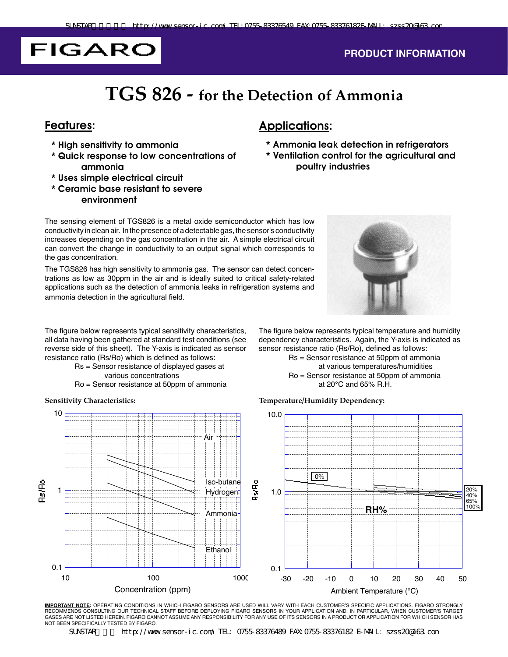# **FIGARO**

#### **PRODUCT INFORMATION**

### **TGS 826 - for the Detection of Ammonia**

#### Features:

- \* High sensitivity to ammonia
- \* Quick response to low concentrations of ammonia
- \* Uses simple electrical circuit
- \* Ceramic base resistant to severe environment

### Applications:

- \* Ammonia leak detection in refrigerators
- \* Ventilation control for the agricultural and poultry industries

The sensing element of TGS826 is a metal oxide semiconductor which has low conductivity in clean air. In the presence of a detectable gas, the sensor's conductivity increases depending on the gas concentration in the air. A simple electrical circuit can convert the change in conductivity to an output signal which corresponds to the gas concentration.

The TGS826 has high sensitivity to ammonia gas. The sensor can detect concentrations as low as 30ppm in the air and is ideally suited to critical safety-related applications such as the detection of ammonia leaks in refrigeration systems and ammonia detection in the agricultural field.

The figure below represents typical sensitivity characteristics, all data having been gathered at standard test conditions (see reverse side of this sheet). The Y-axis is indicated as sensor resistance ratio (Rs/Ro) which is defined as follows:

- Rs = Sensor resistance of displayed gases at various concentrations
- Ro = Sensor resistance at 50ppm of ammonia



The figure below represents typical temperature and humidity dependency characteristics. Again, the Y-axis is indicated as sensor resistance ratio (Rs/Ro), defined as follows:

> Rs = Sensor resistance at 50ppm of ammonia at various temperatures/humidities Ro = Sensor resistance at 50ppm of ammonia at 20°C and 65% R.H.

#### **Sensitivity Characteristics: Temperature/Humidity Dependency:**



**IMPORTANT NOTE:** OPERATING CONDITIONS IN WHICH FIGARO SENSORS ARE USED WILL VARY WITH EACH CUSTOMER'S SPECIFIC APPLICATIONS. FIGARO STRONGLY RECOMMENDS CONSULTING OUR TECHNICAL STAFF BEFORE DEPLOYING FIGARO SENSORS IN YOUR APPLICATION AND, IN PARTICULAR, WHEN CUSTOMER'S TARGET GASES ARE NOT LISTED HEREIN. FIGARO CANNOT ASSUME ANY RESPONSIBILITY FOR ANY USE OF ITS SENSORS IN A PRODUCT OR APPLICATION FOR WHICH SENSOR HAS NOT BEEN SPECIFICALLY TESTED BY FIGARO.

SUNSTAR http://www.sensor-ic.com/ TEL: 0755-83376489 FAX:0755-83376182 E-MAIL: szss20@163.com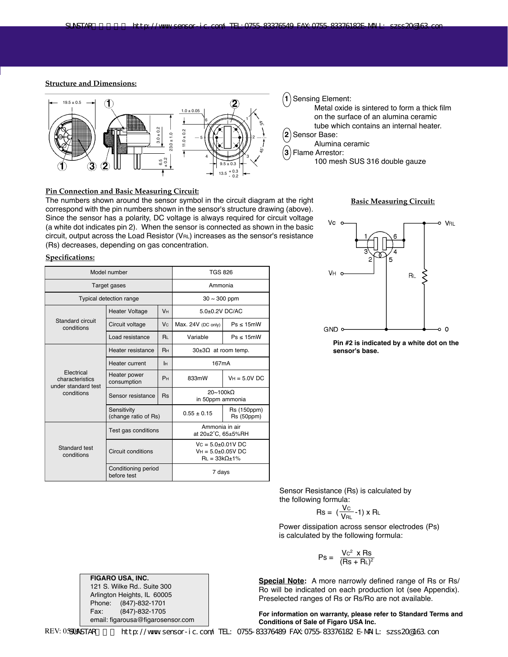#### **Structure and Dimensions:**



#### **Pin Connection and Basic Measuring Circuit:**

The numbers shown around the sensor symbol in the circuit diagram at the right correspond with the pin numbers shown in the sensor's structure drawing (above). Since the sensor has a polarity, DC voltage is always required for circuit voltage (a white dot indicates pin 2). When the sensor is connected as shown in the basic circuit, output across the Load Resistor (VRL) increases as the sensor's resistance (Rs) decreases, depending on gas concentration.

#### **Specifications:**

| Model number                                                       |                                     |                | <b>TGS 826</b>                                                         |                           |  |
|--------------------------------------------------------------------|-------------------------------------|----------------|------------------------------------------------------------------------|---------------------------|--|
| Target gases                                                       |                                     |                | Ammonia                                                                |                           |  |
| <b>Typical detection range</b>                                     |                                     |                | $30 \sim 300$ ppm                                                      |                           |  |
| Standard circuit<br>conditions                                     | <b>Heater Voltage</b>               | Vн             | 5.0±0.2V DC/AC                                                         |                           |  |
|                                                                    | Circuit voltage                     | <b>Vc</b>      | Max. 24V (DC only)                                                     | $Ps \leq 15mW$            |  |
|                                                                    | Load resistance                     | $R_{I}$        | Variable                                                               | $Ps \leq 15mW$            |  |
| Electrical<br>characteristics<br>under standard test<br>conditions | Heater resistance                   | Rн             | $30\pm3\Omega$ at room temp.                                           |                           |  |
|                                                                    | Heater current                      | Iн             | 167mA                                                                  |                           |  |
|                                                                    | Heater power<br>consumption         | P <sub>H</sub> | 833mW                                                                  | $VH = 5.0V$ DC            |  |
|                                                                    | Sensor resistance                   | <b>Rs</b>      | 20~100kQ<br>in 50ppm ammonia                                           |                           |  |
|                                                                    | Sensitivity<br>(change ratio of Rs) |                | $0.55 \pm 0.15$                                                        | Rs (150ppm)<br>Rs (50ppm) |  |
| Standard test<br>conditions                                        | Test gas conditions                 |                | Ammonia in air<br>at 20±2°C, 65±5%RH                                   |                           |  |
|                                                                    | Circuit conditions                  |                | $VC = 5.0+0.01V$ DC<br>$VH = 5.0+0.05V$ DC<br>$RL = 33k\Omega \pm 1\%$ |                           |  |
|                                                                    | Conditioning period<br>before test  |                | 7 days                                                                 |                           |  |

#### **1** Sensing Element:

- Metal oxide is sintered to form a thick film on the surface of an alumina ceramic tube which contains an internal heater.
- **2** Sensor Base:
	- Alumina ceramic

**3** Flame Arrestor:

100 mesh SUS 316 double gauze

#### **Basic Measuring Circuit:**



**Pin #2 is indicated by a white dot on the sensor's base.**

Sensor Resistance (Rs) is calculated by the following formula:

$$
Rs = \left(\frac{V_{C}}{V_{RL}}\text{-1}\right) \times R_{L}
$$

Power dissipation across sensor electrodes (Ps) is calculated by the following formula:

$$
Ps = \frac{Vc^2 \times Rs}{(Rs + RL)^2}
$$

**Special Note:** A more narrowly defined range of Rs or Rs/ Ro will be indicated on each production lot (see Appendix). Preselected ranges of Rs or Rs/Ro are not available.

For information on warranty, please refer to Standard Terms and **Conditions of Sale of Figaro USA Inc.** 

**FIGARO USA, INC.** 121 S. Wilke Rd.. Suite 300 Arlington Heights, IL 60005 Phone: (847)-832-1701<br>Fax: (847)-832-1705 Fax: (847)-832-1705<br>email: figarousa@figarosensor.com

REV: 0580ASTAR

http://www.sensor-ic.com/ TEL: 0755-83376489 FAX:0755-83376182 E-MAIL: szss20@163.com